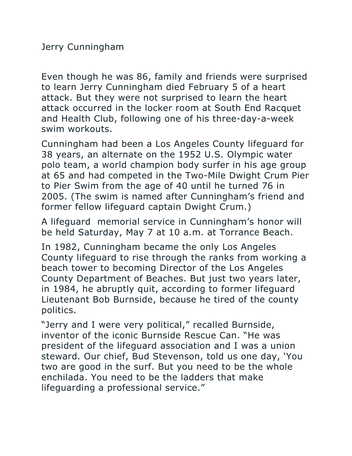Even though he was 86, family and friends were surprised to learn Jerry Cunningham died February 5 of a heart attack. But they were not surprised to learn the heart attack occurred in the locker room at South End Racquet and Health Club, following one of his three-day-a-week swim workouts.

Cunningham had been a Los Angeles County lifeguard for 38 years, an alternate on the 1952 U.S. Olympic water polo team, a world champion body surfer in his age group at 65 and had competed in the Two-Mile Dwight Crum Pier to Pier Swim from the age of 40 until he turned 76 in 2005. (The swim is named after Cunningham's friend and former fellow lifeguard captain Dwight Crum.)

A lifeguard memorial service in Cunningham's honor will be held Saturday, May 7 at 10 a.m. at Torrance Beach.

In 1982, Cunningham became the only Los Angeles County lifeguard to rise through the ranks from working a beach tower to becoming Director of the Los Angeles County Department of Beaches. But just two years later, in 1984, he abruptly quit, according to former lifeguard Lieutenant Bob Burnside, because he tired of the county politics.

"Jerry and I were very political," recalled Burnside, inventor of the iconic Burnside Rescue Can. "He was president of the lifeguard association and I was a union steward. Our chief, Bud Stevenson, told us one day, 'You two are good in the surf. But you need to be the whole enchilada. You need to be the ladders that make lifeguarding a professional service."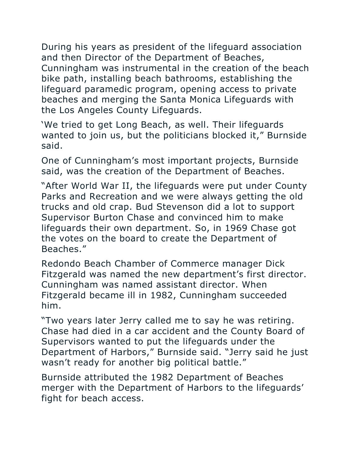During his years as president of the lifeguard association and then Director of the Department of Beaches, Cunningham was instrumental in the creation of the beach bike path, installing beach bathrooms, establishing the lifeguard paramedic program, opening access to private beaches and merging the Santa Monica Lifeguards with the Los Angeles County Lifeguards.

'We tried to get Long Beach, as well. Their lifeguards wanted to join us, but the politicians blocked it," Burnside said.

One of Cunningham's most important projects, Burnside said, was the creation of the Department of Beaches.

"After World War II, the lifeguards were put under County Parks and Recreation and we were always getting the old trucks and old crap. Bud Stevenson did a lot to support Supervisor Burton Chase and convinced him to make lifeguards their own department. So, in 1969 Chase got the votes on the board to create the Department of Beaches."

Redondo Beach Chamber of Commerce manager Dick Fitzgerald was named the new department's first director. Cunningham was named assistant director. When Fitzgerald became ill in 1982, Cunningham succeeded him.

"Two years later Jerry called me to say he was retiring. Chase had died in a car accident and the County Board of Supervisors wanted to put the lifeguards under the Department of Harbors," Burnside said. "Jerry said he just wasn't ready for another big political battle."

Burnside attributed the 1982 Department of Beaches merger with the Department of Harbors to the lifeguards' fight for beach access.